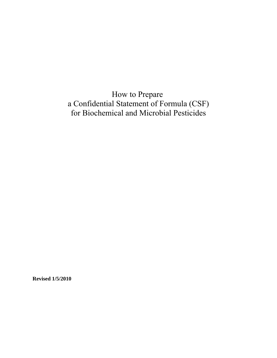How to Prepare a Confidential Statement of Formula (CSF) for Biochemical and Microbial Pesticides

**Revised 1/5/2010**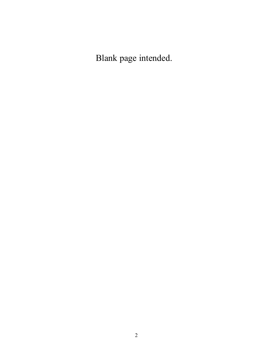Blank page intended.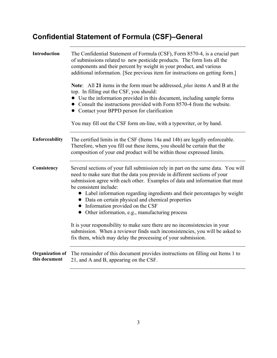## **Confidential Statement of Formula (CSF)–General**

| <b>Introduction</b>                     | The Confidential Statement of Formula (CSF), Form 8570-4, is a crucial part<br>of submissions related to new pesticide products. The form lists all the<br>components and their percent by weight in your product, and various<br>additional information. [See previous item for instructions on getting form.]                                                                                                                                                                                     |
|-----------------------------------------|-----------------------------------------------------------------------------------------------------------------------------------------------------------------------------------------------------------------------------------------------------------------------------------------------------------------------------------------------------------------------------------------------------------------------------------------------------------------------------------------------------|
|                                         | Note: All 21 items in the form must be addressed, <i>plus</i> items A and B at the<br>top. In filling out the CSF, you should:<br>• Use the information provided in this document, including sample forms<br>• Consult the instructions provided with Form 8570-4 from the website.<br>• Contact your BPPD person for clarification                                                                                                                                                                 |
|                                         | You may fill out the CSF form on-line, with a typewriter, or by hand.                                                                                                                                                                                                                                                                                                                                                                                                                               |
| Enforceability                          | The certified limits in the CSF (Items 14a and 14b) are legally enforceable.<br>Therefore, when you fill out these items, you should be certain that the<br>composition of your end product will be within those expressed limits.                                                                                                                                                                                                                                                                  |
| Consistency                             | Several sections of your full submission rely in part on the same data. You will<br>need to make sure that the data you provide in different sections of your<br>submission agree with each other. Examples of data and information that must<br>be consistent include:<br>• Label information regarding ingredients and their percentages by weight<br>• Data on certain physical and chemical properties<br>• Information provided on the CSF<br>• Other information, e.g., manufacturing process |
|                                         | It is your responsibility to make sure there are no inconsistencies in your<br>submission. When a reviewer finds such inconsistencies, you will be asked to<br>fix them, which may delay the processing of your submission.                                                                                                                                                                                                                                                                         |
| <b>Organization of</b><br>this document | The remainder of this document provides instructions on filling out Items 1 to<br>21, and A and B, appearing on the CSF.                                                                                                                                                                                                                                                                                                                                                                            |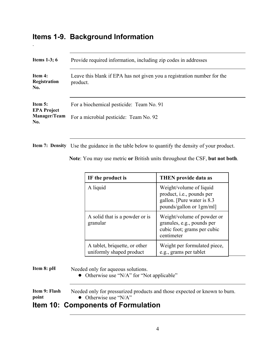#### **Items 1-9. Background Information**

.

| Items $1-3$ ; 6                                      | Provide required information, including zip codes in addresses                      |  |
|------------------------------------------------------|-------------------------------------------------------------------------------------|--|
| Item 4:<br>Registration<br>No.                       | Leave this blank if EPA has not given you a registration number for the<br>product. |  |
| Item 5:<br><b>EPA Project</b><br>Manager/Team<br>No. | For a biochemical pesticide: Team No. 91<br>For a microbial pesticide: Team No. 92  |  |

**Item 7: Density** Use the guidance in the table below to quantify the density of your product.

|  | Note: You may use metric or British units throughout the CSF, but not both. |  |
|--|-----------------------------------------------------------------------------|--|
|--|-----------------------------------------------------------------------------|--|

| IF the product is                                         | <b>THEN</b> provide data as                                                                                     |
|-----------------------------------------------------------|-----------------------------------------------------------------------------------------------------------------|
| A liquid                                                  | Weight/volume of liquid<br>product, i.e., pounds per<br>gallon. [Pure water is 8.3]<br>pounds/gallon or 1gm/ml] |
| A solid that is a powder or is<br>granular                | Weight/volume of powder or<br>granules, e.g., pounds per<br>cubic foot; grams per cubic<br>centimeter           |
| A tablet, briquette, or other<br>uniformly shaped product | Weight per formulated piece,<br>e.g., grams per tablet                                                          |

**Item 8: pH** Needed only for aqueous solutions.

• Otherwise use "N/A" for "Not applicable"

**Item 9: Flash** Needed only for pressurized products and those expected or known to burn. **Point** • Otherwise use "N/A"

#### **Item 10: Components of Formulation**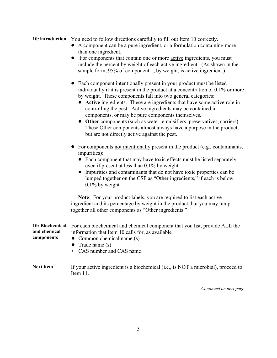#### **10:Introduction** You need to follow directions carefully to fill out Item 10 correctly.

- ! A component can be a pure ingredient, or a formulation containing more than one ingredient.
- For components that contain one or more <u>active</u> ingredients, you must include the percent by weight of each active ingredient. (As shown in the sample form, 95% of component 1, by weight, is active ingredient.)
- Each component intentionally present in your product must be listed individually if it is present in the product at a concentration of 0.1% or more by weight. These components fall into two general categories:
	- ! **Active** ingredients. These are ingredients that have some active role in controlling the pest. Active ingredients may be contained in components, or may be pure components themselves.
	- ! **Other** components (such as water, emulsifiers, preservatives, carriers). These Other components almost always have a purpose in the product, but are not directly active against the pest.
- For components not intentionally present in the product (e.g., contaminants, impurities):
	- Each component that may have toxic effects must be listed separately, even if present at less than 0.1% by weight.
	- ! Impurities and contaminants that do not have toxic properties can be lumped together on the CSF as "Other ingredients," if each is below 0.1% by weight.

**Note**: For your product labels, you are required to list each active ingredient and its percentage by weight in the product, but you may lump together all other components as "Other ingredients."

| 10: Biochemical<br>and chemical<br>components | For each biochemical and chemical component that you list, provide ALL the<br>information that Item 10 calls for, as available<br>• Common chemical name $(s)$<br>• Trade name $(s)$<br>• CAS number and CAS name |
|-----------------------------------------------|-------------------------------------------------------------------------------------------------------------------------------------------------------------------------------------------------------------------|
| <b>Next item</b>                              | If your active ingredient is a biochemical (i.e., is NOT a microbial), proceed to<br>Item 11.                                                                                                                     |

*Continued on next page*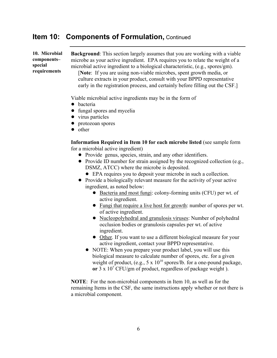#### **Item 10: Components of Formulation, Continued**

**10. Microbial components– special requirements** 

**Background**: This section largely assumes that you are working with a viable microbe as your active ingredient. EPA requires you to relate the weight of a microbial active ingredient to a biological characteristic, (e.g., spores/gm).

 [**Note**: If you are using non-viable microbes, spent growth media, or culture extracts in your product, consult with your BPPD representative early in the registration process, and certainly before filling out the CSF.]

Viable microbial active ingredients may be in the form of

- bacteria
- fungal spores and mycelia
- virus particles
- $\bullet$  protozoan spores
- other

**Information Required in Item 10 for each microbe listed** (see sample form for a microbial active ingredient)

- Provide genus, species, strain, and any other identifiers.
- Provide ID number for strain assigned by the recognized collection (e.g., DSMZ, ATCC) where the microbe is deposited.
	- ! EPA requires you to deposit your microbe in such a collection.
- Provide a biologically relevant measure for the activity of your active ingredient, as noted below:
	- ! Bacteria and most fungi: colony-forming units (CFU) per wt. of active ingredient.
	- Fungi that require a live host for growth: number of spores per wt. of active ingredient.
	- Nucleopolyhedral and granulosis viruses: Number of polyhedral occlusion bodies or granulosis capsules per wt. of active ingredient.
	- Other. If you want to use a different biological measure for your active ingredient, contact your BPPD representative.
	- NOTE: When you prepare your product label, you will use this biological measure to calculate number of spores, etc. for a given weight of product, (e.g.,  $5 \times 10^{10}$  spores/lb. for a one-pound package, or 3 x 10<sup>7</sup> CFU/gm of product, regardless of package weight).

**NOTE**: For the non-microbial components in Item 10, as well as for the remaining Items in the CSF, the same instructions apply whether or not there is a microbial component.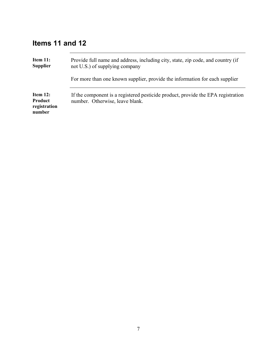### **Items 11 and 12**

| Item 11:<br><b>Supplier</b>                          | Provide full name and address, including city, state, zip code, and country (if<br>not U.S.) of supplying company   |
|------------------------------------------------------|---------------------------------------------------------------------------------------------------------------------|
|                                                      | For more than one known supplier, provide the information for each supplier                                         |
| Item 12:<br><b>Product</b><br>registration<br>number | If the component is a registered pesticide product, provide the EPA registration<br>number. Otherwise, leave blank. |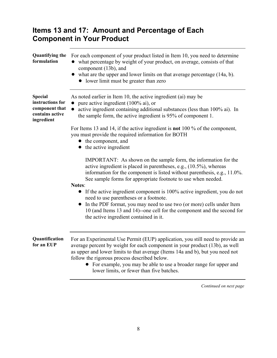#### **Items 13 and 17: Amount and Percentage of Each Component in Your Product**

| <b>Quantifying the</b><br>formulation                                                 | For each component of your product listed in Item 10, you need to determine<br>what percentage by weight of your product, on average, consists of that<br>component (13b), and<br>what are the upper and lower limits on that average percentage (14a, b).<br>• lower limit must be greater than zero                                                                                                            |
|---------------------------------------------------------------------------------------|------------------------------------------------------------------------------------------------------------------------------------------------------------------------------------------------------------------------------------------------------------------------------------------------------------------------------------------------------------------------------------------------------------------|
| <b>Special</b><br>instructions for<br>component that<br>contains active<br>ingredient | As noted earlier in Item 10, the active ingredient (ai) may be<br>pure active ingredient (100% ai), or<br>active ingredient containing additional substances (less than 100% ai). In<br>the sample form, the active ingredient is 95% of component 1.                                                                                                                                                            |
|                                                                                       | For Items 13 and 14, if the active ingredient is <b>not</b> 100 % of the component,<br>you must provide the required information for BOTH<br>• the component, and<br>the active ingredient<br>$\bullet$                                                                                                                                                                                                          |
|                                                                                       | IMPORTANT: As shown on the sample form, the information for the<br>active ingredient is placed in parentheses, e.g., $(10.5\%)$ , whereas<br>information for the component is listed without parenthesis, e.g., 11.0%.<br>See sample forms for appropriate footnote to use when needed.<br>Notes:                                                                                                                |
|                                                                                       | If the active ingredient component is 100% active ingredient, you do not<br>$\bullet$<br>need to use parentheses or a footnote.<br>In the PDF format, you may need to use two (or more) cells under Item<br>10 (and Items 13 and 14)--one cell for the component and the second for<br>the active ingredient contained in it.                                                                                    |
| Quantification<br>for an EUP                                                          | For an Experimental Use Permit (EUP) application, you still need to provide an<br>average percent by weight for each component in your product (13b), as well<br>as upper and lower limits to that average (Items 14a and b), but you need not<br>follow the rigorous process described below.<br>For example, you may be able to use a broader range for upper and<br>lower limits, or fewer than five batches. |

*Continued on next page*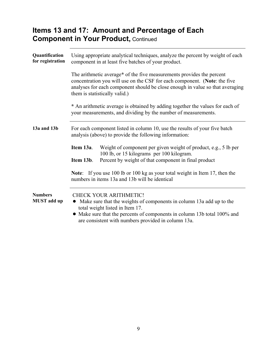#### **Items 13 and 17: Amount and Percentage of Each Component in Your Product,** Continued

| Quantification<br>for registration   | Using appropriate analytical techniques, analyze the percent by weight of each<br>component in at least five batches of your product.                                                                                                                                       |  |  |
|--------------------------------------|-----------------------------------------------------------------------------------------------------------------------------------------------------------------------------------------------------------------------------------------------------------------------------|--|--|
|                                      | The arithmetic average* of the five measurements provides the percent<br>concentration you will use on the CSF for each component. (Note: the five<br>analyses for each component should be close enough in value so that averaging<br>them is statistically valid.)        |  |  |
|                                      | * An arithmetic average is obtained by adding together the values for each of<br>your measurements, and dividing by the number of measurements.                                                                                                                             |  |  |
| 13a and 13b                          | For each component listed in column 10, use the results of your five batch<br>analysis (above) to provide the following information:                                                                                                                                        |  |  |
|                                      | Weight of component per given weight of product, e.g., 5 lb per<br>Item 13a.<br>100 lb, or 15 kilograms per 100 kilogram.<br>Percent by weight of that component in final product<br>Item 13b.                                                                              |  |  |
|                                      | Note: If you use 100 lb or 100 kg as your total weight in Item 17, then the<br>numbers in items 13a and 13b will be identical                                                                                                                                               |  |  |
| <b>Numbers</b><br><b>MUST</b> add up | <b>CHECK YOUR ARITHMETIC!</b><br>• Make sure that the weights of components in column 13a add up to the<br>total weight listed in Item 17.<br>Make sure that the percents of components in column 13b total 100% and<br>are consistent with numbers provided in column 13a. |  |  |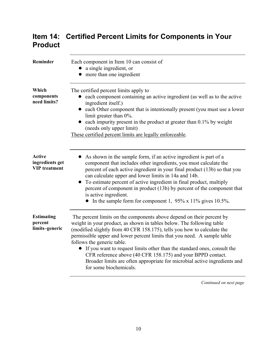### **Item 14: Certified Percent Limits for Components in Your Product**

| Reminder                                                 | Each component in Item 10 can consist of<br>• a single ingredient, or<br>• more than one ingredient                                                                                                                                                                                                                                                                                                                                                                                                                                                                                  |
|----------------------------------------------------------|--------------------------------------------------------------------------------------------------------------------------------------------------------------------------------------------------------------------------------------------------------------------------------------------------------------------------------------------------------------------------------------------------------------------------------------------------------------------------------------------------------------------------------------------------------------------------------------|
| Which<br>components<br>need limits?                      | The certified percent limits apply to<br>each component containing an active ingredient (as well as to the active<br>ingredient itself.)<br>• each Other component that is intentionally present (you must use a lower<br>limit greater than 0%.<br>each impurity present in the product at greater than 0.1% by weight<br>(needs only upper limit)<br>These certified percent limits are legally enforceable.                                                                                                                                                                       |
| <b>Active</b><br>ingredients get<br><b>VIP</b> treatment | As shown in the sample form, if an active ingredient is part of a<br>component that includes other ingredients, you must calculate the<br>percent of each active ingredient in your final product (13b) so that you<br>can calculate upper and lower limits in 14a and 14b.<br>To estimate percent of active ingredient in final product, multiply<br>percent of component in product (13b) by percent of the component that<br>is active ingredient.<br>• In the sample form for component 1, $95\% \times 11\%$ gives 10.5%.                                                       |
| <b>Estimating</b><br>percent<br>limits-generic           | The percent limits on the components above depend on their percent by<br>weight in your product, as shown in tables below. The following table<br>(modified slightly from 40 CFR 158.175), tells you how to calculate the<br>permissible upper and lower percent limits that you need. A sample table<br>follows the generic table.<br>If you want to request limits other than the standard ones, consult the<br>CFR reference above (40 CFR 158.175) and your BPPD contact.<br>Broader limits are often appropriate for microbial active ingredients and<br>for some biochemicals. |

*Continued on next page*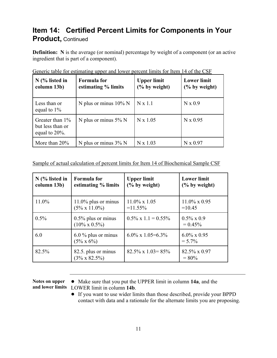#### **Item 14: Certified Percent Limits for Components in Your Product,** Continued

**Definition:** N is the average (or nominal) percentage by weight of a component (or an active ingredient that is part of a component).

| $N$ (% listed in<br>column 13b)                             | <b>Formula</b> for<br>estimating % limits | <b>Upper limit</b><br>$\frac{6}{6}$ by weight) | <b>Lower limit</b><br>$(\%$ by weight) |
|-------------------------------------------------------------|-------------------------------------------|------------------------------------------------|----------------------------------------|
| Less than or<br>equal to $1\%$                              | N plus or minus $10\%$ N                  | $N \times 1.1$                                 | N x 0.9                                |
| Greater than $1\%$<br>but less than or<br>equal to $20\%$ . | N plus or minus $5\%$ N                   | $N \times 1.05$                                | N x 0.95                               |
| More than $20\%$                                            | N plus or minus $3\%$ N                   | $N \times 1.03$                                | N x 0.97                               |

Generic table for estimating upper and lower percent limits for Item 14 of the CSF

Sample of actual calculation of percent limits for Item 14 of Biochemical Sample CSF

| $N$ (% listed in<br>column 13b) | <b>Formula</b> for<br>estimating % limits       | <b>Upper limit</b><br>$\frac{6}{6}$ by weight) | <b>Lower limit</b><br>$(\%$ by weight) |
|---------------------------------|-------------------------------------------------|------------------------------------------------|----------------------------------------|
| 11.0%                           | $11.0\%$ plus or minus<br>$(5\% \times 11.0\%)$ | $11.0\% \times 1.05$<br>$=11.55\%$             | $11.0\% \times 0.95$<br>$=10.45$       |
| $0.5\%$                         | $0.5\%$ plus or minus<br>$(10\% \times 0.5\%)$  | $0.5\% \times 1.1 = 0.55\%$                    | $0.5\% \times 0.9$<br>$= 0.45\%$       |
| 6.0                             | $6.0\%$ plus or minus<br>$(5\% \times 6\%)$     | $6.0\% \times 1.05 = 6.3\%$                    | $6.0\% \times 0.95$<br>$= 5.7\%$       |
| 82.5%                           | 82.5. plus or minus<br>$(3\% \times 82.5\%)$    | $82.5\% \times 1.03 = 85\%$                    | 82.5% x 0.97<br>$= 80\%$               |

- Notes on upper Make sure that you put the UPPER limit in column **14a**, and the **and lower limits** LOWER limit in column **14b**.
	- ! If you want to use wider limits than those described, provide your BPPD contact with data and a rationale for the alternate limits you are proposing.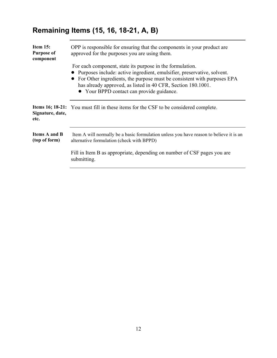## **Remaining Items (15, 16, 18-21, A, B)**

| Item 15:<br><b>Purpose of</b><br>component | OPP is responsible for ensuring that the components in your product are<br>approved for the purposes you are using them.                                                                                                                                                                                                     |  |
|--------------------------------------------|------------------------------------------------------------------------------------------------------------------------------------------------------------------------------------------------------------------------------------------------------------------------------------------------------------------------------|--|
|                                            | For each component, state its purpose in the formulation.<br>Purposes include: active ingredient, emulsifier, preservative, solvent.<br>For Other ingredients, the purpose must be consistent with purposes EPA<br>has already approved, as listed in 40 CFR, Section 180.1001.<br>• Your BPPD contact can provide guidance. |  |
| Signature, date,<br>etc.                   | <b>Items 16; 18-21:</b> You must fill in these items for the CSF to be considered complete.                                                                                                                                                                                                                                  |  |
| <b>Items A and B</b><br>(top of form)      | Item A will normally be a basic formulation unless you have reason to believe it is an<br>alternative formulation (check with BPPD)                                                                                                                                                                                          |  |
|                                            | Fill in Item B as appropriate, depending on number of CSF pages you are<br>submitting.                                                                                                                                                                                                                                       |  |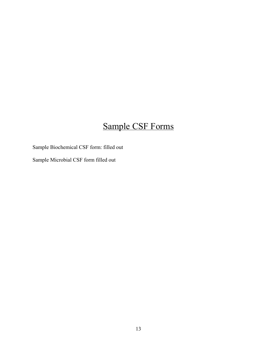# Sample CSF Forms

Sample Biochemical CSF form: filled out

Sample Microbial CSF form filled out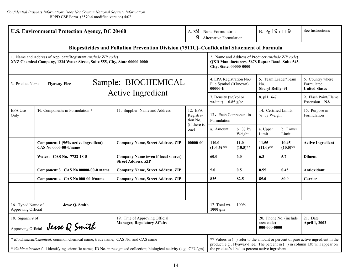| <b>U.S. Environmental Protection Agency, DC 20460</b>                                                                                                                                                     |                                                                     |                                                                                           | A. x9 Basic Formulation<br>9<br>Alternative Formulation  |                                                                                                                                                                                                                     | B. Pg 19 of 19      |                                                       | See Instructions                             |                                                        |
|-----------------------------------------------------------------------------------------------------------------------------------------------------------------------------------------------------------|---------------------------------------------------------------------|-------------------------------------------------------------------------------------------|----------------------------------------------------------|---------------------------------------------------------------------------------------------------------------------------------------------------------------------------------------------------------------------|---------------------|-------------------------------------------------------|----------------------------------------------|--------------------------------------------------------|
|                                                                                                                                                                                                           |                                                                     | Biopesticides and Pollution Prevention Division (7511C)-Confidential Statement of Formula |                                                          |                                                                                                                                                                                                                     |                     |                                                       |                                              |                                                        |
| 1. Name and Address of Applicant/Registrant (include ZIP code)<br>XYZ Chemical Company, 1234 Water Street, Suite 555, City, State 00000-0000                                                              |                                                                     |                                                                                           |                                                          | 2. Name and Address of Producer (include ZIP code)<br>QXR Manufacturers, 5678 Raptor Road, Suite 543,<br>City, State, 00000-0000                                                                                    |                     |                                                       |                                              |                                                        |
| Sample: BIOCHEMICAL<br><b>Flyaway-Flee</b><br>3. Product Name                                                                                                                                             |                                                                     |                                                                                           |                                                          | 4. EPA Registration No./<br>File Symbol (if known)<br>00000-E                                                                                                                                                       |                     | 5. Team Leader/Team<br>No.<br><b>Sheryl Reilly-91</b> |                                              | 6. Country where<br>Formulated<br><b>United States</b> |
| <b>Active Ingredient</b>                                                                                                                                                                                  |                                                                     |                                                                                           |                                                          | 7. Density (wt/vol or<br>wt/unit) $0.85$ g/cc                                                                                                                                                                       |                     | 8. pH 6-7                                             |                                              | 9. Flash Point/Flame<br>Extension NA                   |
| <b>EPA Use</b><br>Only                                                                                                                                                                                    | 10. Components in Formulation *                                     | 11. Supplier Name and Address                                                             | 12. EPA<br>Registra-<br>tion No.<br>(if there is<br>one) | 13. Each Component in<br>Formulation                                                                                                                                                                                |                     | 14. Certified Limits:<br>% by Weight                  |                                              | 15. Purpose in<br>Formulation                          |
|                                                                                                                                                                                                           |                                                                     |                                                                                           |                                                          | a. Amount                                                                                                                                                                                                           | b. $%$ by<br>Weight | a. Upper<br>Limit                                     | b. Lower<br>Limit                            |                                                        |
|                                                                                                                                                                                                           | Component 1 (95% active ingredient)<br><b>CAS No 0000-00-0/name</b> | <b>Company Name, Street Address, ZIP</b>                                                  | 00000-00                                                 | 110.0<br>$(104.5)$ **                                                                                                                                                                                               | 11.0<br>$(10.5)$ ** | 11.55<br>$(11.0)$ **                                  | 10.45<br>$(10.0)**$                          | <b>Active Ingredient</b>                               |
|                                                                                                                                                                                                           | Water: CAS No. 7732-18-5                                            | <b>Company Name (even if local source)</b><br><b>Street Address, ZIP</b>                  |                                                          | 60.0                                                                                                                                                                                                                | 6.0                 | 6.3                                                   | 5.7                                          | <b>Diluent</b>                                         |
|                                                                                                                                                                                                           | Component 3 CAS No 00000-00-0 /name                                 | <b>Company Name, Street Address, ZIP</b>                                                  |                                                          | 5.0                                                                                                                                                                                                                 | 0.5                 | 0.55                                                  | 0.45                                         | <b>Antioxidant</b>                                     |
|                                                                                                                                                                                                           | Component 4 CAS No 000-00-0/name                                    | <b>Company Name, Street Address, ZIP</b>                                                  |                                                          | 825                                                                                                                                                                                                                 | 82.5                | 85.0                                                  | 80.0                                         | Carrier                                                |
|                                                                                                                                                                                                           |                                                                     |                                                                                           |                                                          |                                                                                                                                                                                                                     |                     |                                                       |                                              |                                                        |
| 16. Typed Name of<br><b>Jesse Q. Smith</b><br>Approving Official                                                                                                                                          |                                                                     |                                                                                           |                                                          | 17. Total wt.<br>$1000$ gm                                                                                                                                                                                          | 100%                |                                                       |                                              |                                                        |
| 18. Signature of<br>19. Title of Approving Official<br><b>Manager, Regulatory Affairs</b><br>Approving Official <b>Jesse Q Smith</b>                                                                      |                                                                     |                                                                                           |                                                          |                                                                                                                                                                                                                     |                     |                                                       | 20. Phone No. (include<br>$000 - 000 - 0000$ | 21. Date<br>April 1, 2002                              |
| * Biochemical/Chemical: common chemical name; trade name; CAS No. and CAS name<br>* Viable microbe: full identifying scientific name; ID No. in recognized collection; biological activity (e.g., CFU/gm) |                                                                     |                                                                                           |                                                          | ** Values in () refer to the amount or percent of pure active ingredient in the<br>product, e.g., Flyaway-Flee. The percent in () in column 13b will appear on<br>the product's label as percent active ingredient. |                     |                                                       |                                              |                                                        |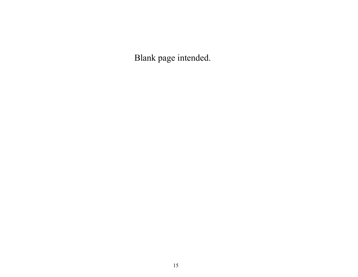Blank page intended.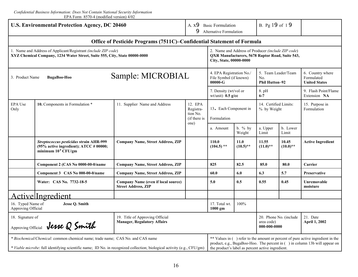| <b>U.S. Environmental Protection Agency, DC 20460</b>                                                                                                                                                     |                                                                                                                                  |                                                                          | A. x9 Basic Formulation<br>9 Alternative Formulation |                                                                                                                                                                                                                    |                     | B. Pg 19 of 19                                             |                      |                                                        |  |  |  |
|-----------------------------------------------------------------------------------------------------------------------------------------------------------------------------------------------------------|----------------------------------------------------------------------------------------------------------------------------------|--------------------------------------------------------------------------|------------------------------------------------------|--------------------------------------------------------------------------------------------------------------------------------------------------------------------------------------------------------------------|---------------------|------------------------------------------------------------|----------------------|--------------------------------------------------------|--|--|--|
| Office of Pesticide Programs (7511C)–Confidential Statement of Formula                                                                                                                                    |                                                                                                                                  |                                                                          |                                                      |                                                                                                                                                                                                                    |                     |                                                            |                      |                                                        |  |  |  |
| 1. Name and Address of Applicant/Registrant (include ZIP code)<br>XYZ Chemical Company, 1234 Water Street, Suite 555, City, State 00000-0000                                                              |                                                                                                                                  |                                                                          |                                                      | 2. Name and Address of Producer (include ZIP code)<br>QXR Manufacturers, 5678 Raptor Road, Suite 543,<br>City, State, 00000-0000                                                                                   |                     |                                                            |                      |                                                        |  |  |  |
| Sample: MICROBIAL<br>3. Product Name<br>BugaBoo-Hoo                                                                                                                                                       |                                                                                                                                  |                                                                          |                                                      | 4. EPA Registration No./<br>File Symbol (if known)<br>$00000 - G$                                                                                                                                                  |                     | 5. Team Leader/Team<br>No.<br><b>Phil Hutton-92</b>        |                      | 6. Country where<br>Formulated<br><b>United States</b> |  |  |  |
|                                                                                                                                                                                                           |                                                                                                                                  |                                                                          |                                                      | 7. Density (wt/vol or<br>wt/unit) $0.5$ g/cc                                                                                                                                                                       |                     | 8. pH<br>$6 - 7$                                           |                      | 9. Flash Point/Flame<br>Extension NA                   |  |  |  |
| EPA Use<br>Only                                                                                                                                                                                           | 10. Components in Formulation *                                                                                                  | 11. Supplier Name and Address                                            | 12. EPA<br>Registra-<br>tion No.<br>(if there is     | 13. Each Component in<br>Formulation                                                                                                                                                                               |                     | 14. Certified Limits:<br>% by Weight                       |                      | 15. Purpose in<br>Formulation                          |  |  |  |
|                                                                                                                                                                                                           |                                                                                                                                  |                                                                          | one)                                                 | a. Amount                                                                                                                                                                                                          | b. $%$ by<br>Weight | a. Upper<br>Limit                                          | b. Lower<br>Limit    |                                                        |  |  |  |
|                                                                                                                                                                                                           | Streptococcus pesticidus strain AHR-999<br>(95% active ingredient); $ATCC \text{ } \# \text{ } 00000$ ;<br>minimum $10^8$ CFU/gm | <b>Company Name, Street Address, ZIP</b>                                 |                                                      | 110.0<br>$(104.5)$ **                                                                                                                                                                                              | 11.0<br>$(10.5)$ ** | 11.55<br>$(11.0)$ **                                       | 10.45<br>$(10.0)$ ** | <b>Active Ingredient</b>                               |  |  |  |
|                                                                                                                                                                                                           | Component 2 (CAS No 0000-00-0/name                                                                                               | <b>Company Name, Street Address, ZIP</b>                                 |                                                      | 825                                                                                                                                                                                                                | 82.5                | 85.0                                                       | 80.0                 | Carrier                                                |  |  |  |
|                                                                                                                                                                                                           | Component 3 CAS No 000-00-0/name                                                                                                 | <b>Company Name, Street Address, ZIP</b>                                 |                                                      | 60.0                                                                                                                                                                                                               | 6.0                 | 6.3                                                        | 5.7                  | Preservative                                           |  |  |  |
|                                                                                                                                                                                                           | Water: CAS No. 7732-18-5                                                                                                         | <b>Company Name (even if local source)</b><br><b>Street Address, ZIP</b> |                                                      | 5.0                                                                                                                                                                                                                | 0.5                 | 0.55                                                       | 0.45                 | Unremovable<br>moisture                                |  |  |  |
| <u>ActivelIngredient</u>                                                                                                                                                                                  |                                                                                                                                  |                                                                          |                                                      |                                                                                                                                                                                                                    |                     |                                                            |                      |                                                        |  |  |  |
| 16. Typed Name of<br>Jesse Q. Smith<br>Approving Official                                                                                                                                                 |                                                                                                                                  |                                                                          | 17. Total wt.<br>1000 gm                             | 100%                                                                                                                                                                                                               |                     |                                                            |                      |                                                        |  |  |  |
| 18. Signature of<br>Jesse Q Smith<br>Approving Official                                                                                                                                                   |                                                                                                                                  | 19. Title of Approving Official<br><b>Manager, Regulatory Affairs</b>    |                                                      |                                                                                                                                                                                                                    |                     | 20. Phone No. (include<br>area code)<br>$000 - 000 - 0000$ |                      | 21. Date<br><b>April 1, 2002</b>                       |  |  |  |
| * Biochemical/Chemical: common chemical name; trade name; CAS No. and CAS name<br>* Viable microbe: full identifying scientific name; ID No. in recognized collection; biological activity (e.g., CFU/gm) |                                                                                                                                  |                                                                          |                                                      | ** Values in () refer to the amount or percent of pure active ingredient in the<br>product, e.g., BugaBoo-Hoo. The percent in () in column 13b will appear on<br>the product's label as percent active ingredient. |                     |                                                            |                      |                                                        |  |  |  |